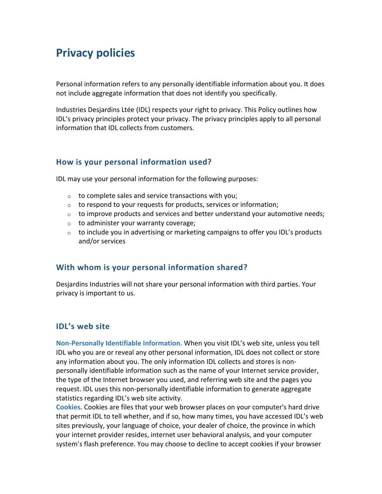# **Privacy policies**

Personal information refers to any personally identifiable information about you. It does not include aggregate information that does not identify you specifically.

Industries Desjardins Ltée (IDL) respects your right to privacy. This Policy outlines how IDL's privacy principles protect your privacy. The privacy principles apply to all personal information that IDL collects from customers.

# **How is your personal information used?**

IDL may use your personal information for the following purposes:

- $\circ$  to complete sales and service transactions with you;
- $\circ$  to respond to your requests for products, services or information;
- $\circ$  to improve products and services and better understand your automotive needs;
- o to administer your warranty coverage;
- o to include you in advertising or marketing campaigns to offer you IDL's products and/or services

## **With whom is your personal information shared?**

Desjardins Industries will not share your personal information with third parties. Your privacy is important to us.

## **IDL's web site**

**Non-Personally Identifiable Information.** When you visit IDL's web site, unless you tell IDL who you are or reveal any other personal information, IDL does not collect or store any information about you. The only information IDL collects and stores is nonpersonally identifiable information such as the name of your Internet service provider, the type of the Internet browser you used, and referring web site and the pages you request. IDL uses this non-personally identifiable information to generate aggregate statistics regarding IDL's web site activity.

**Cookies.** Cookies are files that your web browser places on your computer's hard drive that permit IDL to tell whether, and if so, how many times, you have accessed IDL's web sites previously, your language of choice, your dealer of choice, the province in which your internet provider resides, internet user behavioral analysis, and your computer system's flash preference. You may choose to decline to accept cookies if your browser